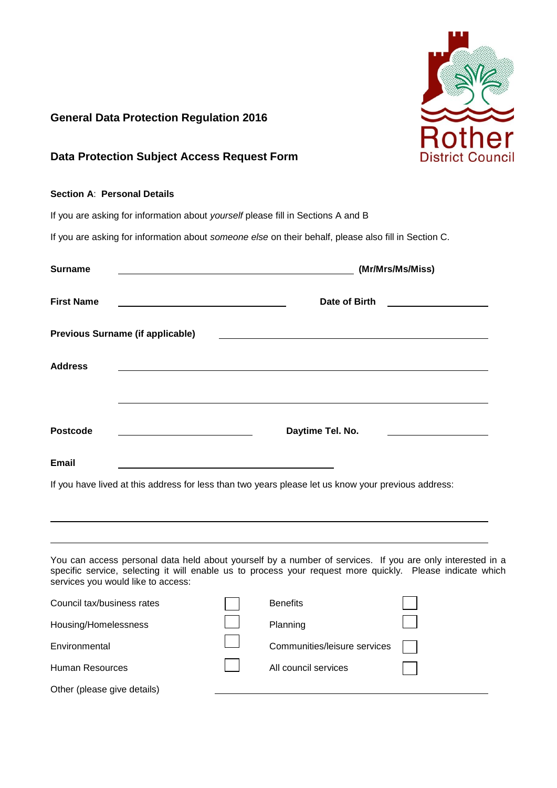

## **General Data Protection Regulation 2016**

## **Data Protection Subject Access Request Form**

### **Section A**: **Personal Details**

If you are asking for information about *yourself* please fill in Sections A and B

If you are asking for information about *someone else* on their behalf, please also fill in Section C.

| <b>Surname</b>    | (Mr/Mrs/Ms/Miss)                                                                                    |
|-------------------|-----------------------------------------------------------------------------------------------------|
| <b>First Name</b> | Date of Birth                                                                                       |
|                   | <b>Previous Surname (if applicable)</b>                                                             |
| <b>Address</b>    |                                                                                                     |
|                   |                                                                                                     |
| <b>Postcode</b>   | Daytime Tel. No.                                                                                    |
| Email             |                                                                                                     |
|                   | If you have lived at this address for less than two years please let us know your previous address: |

You can access personal data held about yourself by a number of services. If you are only interested in a specific service, selecting it will enable us to process your request more quickly. Please indicate which services you would like to access:

| Council tax/business rates  | <b>Benefits</b>              |  |
|-----------------------------|------------------------------|--|
| Housing/Homelessness        | Planning                     |  |
| Environmental               | Communities/leisure services |  |
| <b>Human Resources</b>      | All council services         |  |
| Other (please give details) |                              |  |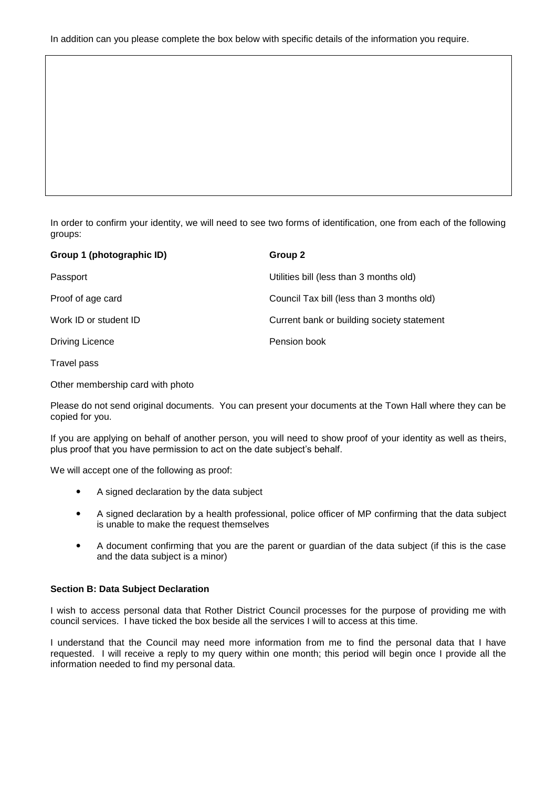In order to confirm your identity, we will need to see two forms of identification, one from each of the following groups:

| Group 1 (photographic ID) | Group 2                                    |
|---------------------------|--------------------------------------------|
| Passport                  | Utilities bill (less than 3 months old)    |
| Proof of age card         | Council Tax bill (less than 3 months old)  |
| Work ID or student ID     | Current bank or building society statement |
| Driving Licence           | Pension book                               |
|                           |                                            |

Travel pass

Other membership card with photo

Please do not send original documents. You can present your documents at the Town Hall where they can be copied for you.

If you are applying on behalf of another person, you will need to show proof of your identity as well as theirs, plus proof that you have permission to act on the date subject's behalf.

We will accept one of the following as proof:

- A signed declaration by the data subject
- A signed declaration by a health professional, police officer of MP confirming that the data subject is unable to make the request themselves
- A document confirming that you are the parent or guardian of the data subject (if this is the case and the data subject is a minor)

#### **Section B: Data Subject Declaration**

I wish to access personal data that Rother District Council processes for the purpose of providing me with council services. I have ticked the box beside all the services I will to access at this time.

I understand that the Council may need more information from me to find the personal data that I have requested. I will receive a reply to my query within one month; this period will begin once I provide all the information needed to find my personal data.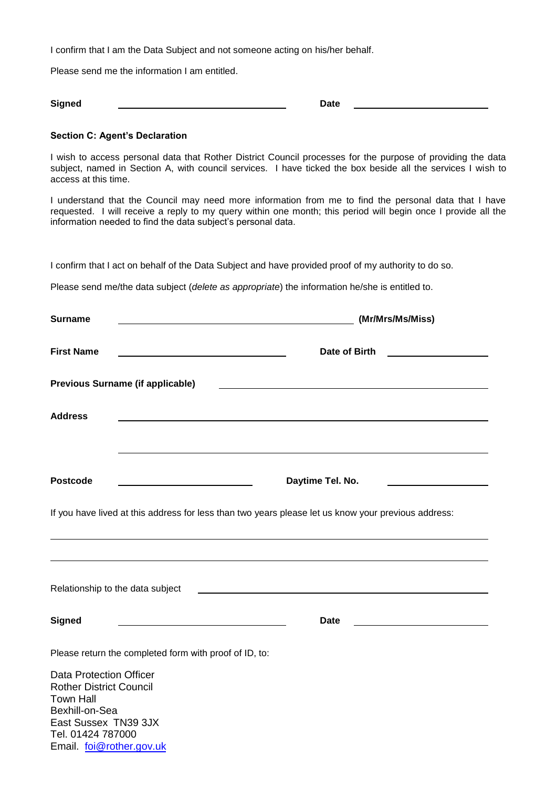I confirm that I am the Data Subject and not someone acting on his/her behalf.

Please send me the information I am entitled.

**Signed** Date

#### **Section C: Agent's Declaration**

Email. [foi@rother.gov.uk](mailto:foi@rother.gov.uk)

I wish to access personal data that Rother District Council processes for the purpose of providing the data subject, named in Section A, with council services. I have ticked the box beside all the services I wish to access at this time.

I understand that the Council may need more information from me to find the personal data that I have requested. I will receive a reply to my query within one month; this period will begin once I provide all the information needed to find the data subject's personal data.

I confirm that I act on behalf of the Data Subject and have provided proof of my authority to do so.

Please send me/the data subject (*delete as appropriate*) the information he/she is entitled to.

| <b>Surname</b>                                                                                                                                      | (Mr/Mrs/Ms/Miss)                                                                                                     |
|-----------------------------------------------------------------------------------------------------------------------------------------------------|----------------------------------------------------------------------------------------------------------------------|
| <b>First Name</b><br><u> 1989 - Johann Barbara, martin amerikan basar dan basa dan basar dalam basa dalam basa dalam basa dalam basa </u>           | Date of Birth<br><u> 1980 - Andrea Station Barbara, amerikan per</u>                                                 |
| <b>Previous Surname (if applicable)</b>                                                                                                             | <u> 1989 - Johann John Stein, markin fan it ferstjer fan de ferstjer fan it ferstjer fan it ferstjer fan it fers</u> |
| <b>Address</b>                                                                                                                                      |                                                                                                                      |
|                                                                                                                                                     |                                                                                                                      |
| <b>Postcode</b>                                                                                                                                     | Daytime Tel. No.                                                                                                     |
| If you have lived at this address for less than two years please let us know your previous address:                                                 |                                                                                                                      |
|                                                                                                                                                     |                                                                                                                      |
| Relationship to the data subject                                                                                                                    | <u> 1989 - Andrea Stadt Britain, amerikansk politiker (</u>                                                          |
| <b>Signed</b>                                                                                                                                       | <b>Date</b>                                                                                                          |
| Please return the completed form with proof of ID, to:                                                                                              |                                                                                                                      |
| <b>Data Protection Officer</b><br><b>Rother District Council</b><br><b>Town Hall</b><br>Bexhill-on-Sea<br>East Sussex TN39 3JX<br>Tel. 01424 787000 |                                                                                                                      |